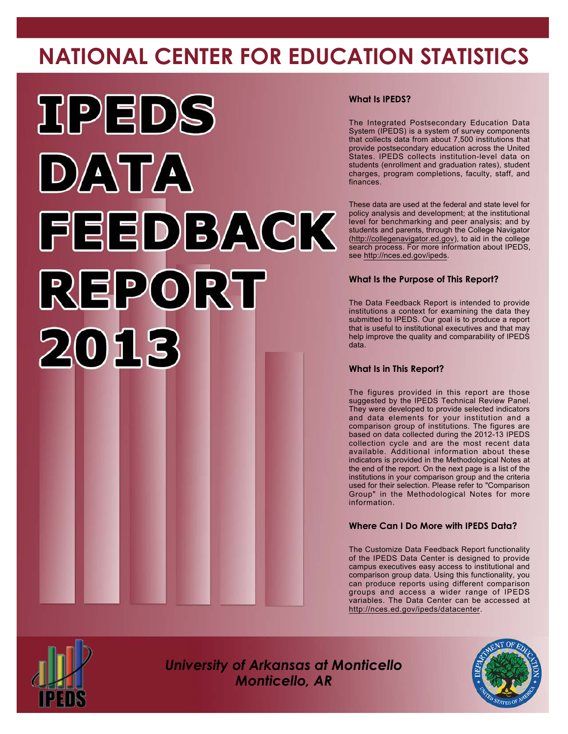# **NATIONAL CENTER FOR EDUCATION STATISTICS**



# **What Is IPEDS?**

The Integrated Postsecondary Education Data System (IPEDS) is a system of survey components that collects data from about 7,500 institutions that provide postsecondary education across the United States. IPEDS collects institution-level data on students (enrollment and graduation rates), student charges, program completions, faculty, staff, and finances.

These data are used at the federal and state level for policy analysis and development; at the institutional level for benchmarking and peer analysis; and by students and parents, through the College Navigator [\(http://collegenavigator.ed.gov\)](http://collegenavigator.ed.gov), to aid in the college search process. For more information about IPEDS, see <http://nces.ed.gov/ipeds>.

# **What Is the Purpose of This Report?**

The Data Feedback Report is intended to provide institutions a context for examining the data they submitted to IPEDS. Our goal is to produce a report that is useful to institutional executives and that may help improve the quality and comparability of IPEDS data.

### **What Is in This Report?**

The figures provided in this report are those suggested by the IPEDS Technical Review Panel. They were developed to provide selected indicators and data elements for your institution and a comparison group of institutions. The figures are based on data collected during the 2012-13 IPEDS collection cycle and are the most recent data available. Additional information about these indicators is provided in the Methodological Notes at the end of the report. On the next page is a list of the institutions in your comparison group and the criteria used for their selection. Please refer to "Comparison Group" in the Methodological Notes for more information.

# **Where Can I Do More with IPEDS Data?**

The Customize Data Feedback Report functionality of the IPEDS Data Center is designed to provide campus executives easy access to institutional and comparison group data. Using this functionality, you can produce reports using different comparison groups and access a wider range of IPEDS variables. The Data Center can be accessed at <http://nces.ed.gov/ipeds/datacenter>.



*University of Arkansas at Monticello Monticello, AR*

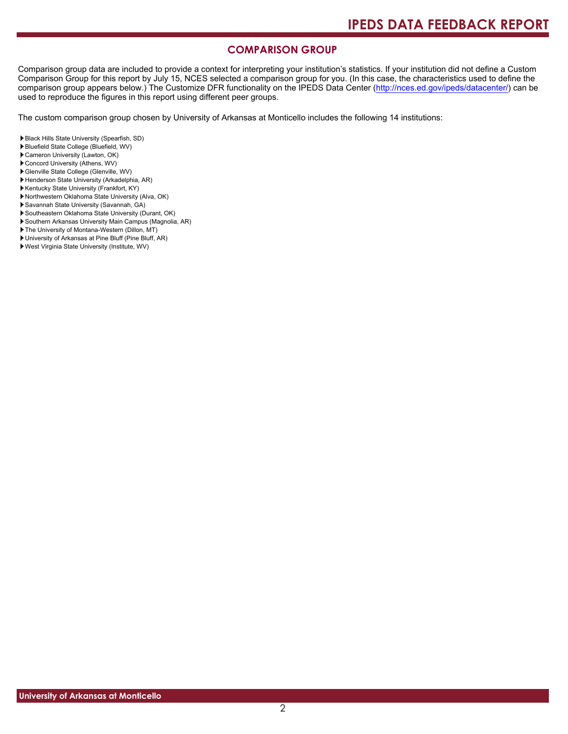# **COMPARISON GROUP**

Comparison group data are included to provide a context for interpreting your institution's statistics. If your institution did not define a Custom Comparison Group for this report by July 15, NCES selected a comparison group for you. (In this case, the characteristics used to define the comparison group appears below.) The Customize DFR functionality on the IPEDS Data Center [\(http://nces.ed.gov/ipeds/datacenter/\)](http://nces.ed.gov/ipeds/datacenter/) can be used to reproduce the figures in this report using different peer groups.

The custom comparison group chosen by University of Arkansas at Monticello includes the following 14 institutions:

- Black Hills State University (Spearfish, SD)
- Bluefield State College (Bluefield, WV)
- Cameron University (Lawton, OK)
- Concord University (Athens, WV)
- Glenville State College (Glenville, WV)
- Henderson State University (Arkadelphia, AR)
- Kentucky State University (Frankfort, KY)
- Northwestern Oklahoma State University (Alva, OK)
- Savannah State University (Savannah, GA)
- Southeastern Oklahoma State University (Durant, OK)
- Southern Arkansas University Main Campus (Magnolia, AR)
- The University of Montana-Western (Dillon, MT)
- University of Arkansas at Pine Bluff (Pine Bluff, AR)
- West Virginia State University (Institute, WV)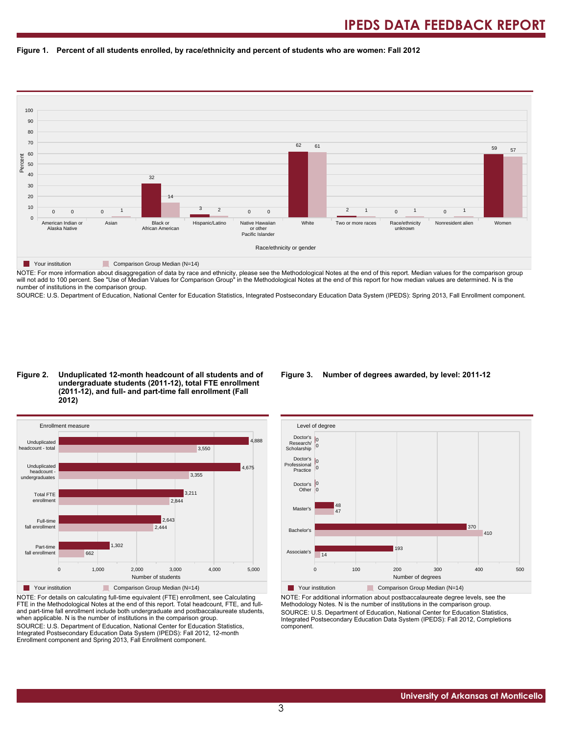#### **Figure 1. Percent of all students enrolled, by race/ethnicity and percent of students who are women: Fall 2012**



NOTE: For more information about disaggregation of data by race and ethnicity, please see the Methodological Notes at the end of this report. Median values for the comparison group will not add to 100 percent. See "Use of Median Values for Comparison Group" in the Methodological Notes at the end of this report for how median values are determined. N is the number of institutions in the comparison group.

SOURCE: U.S. Department of Education, National Center for Education Statistics, Integrated Postsecondary Education Data System (IPEDS): Spring 2013, Fall Enrollment component.

#### **Figure 2. Unduplicated 12-month headcount of all students and of undergraduate students (2011-12), total FTE enrollment (2011-12), and full- and part-time fall enrollment (Fall 2012)**



NOTE: For details on calculating full-time equivalent (FTE) enrollment, see Calculating FTE in the Methodological Notes at the end of this report. Total headcount, FTE, and fulland part-time fall enrollment include both undergraduate and postbaccalaureate students, when applicable. N is the number of institutions in the comparison group. SOURCE: U.S. Department of Education, National Center for Education Statistics, Integrated Postsecondary Education Data System (IPEDS): Fall 2012, 12-month Enrollment component and Spring 2013, Fall Enrollment component.

#### **Figure 3. Number of degrees awarded, by level: 2011-12**



NOTE: For additional information about postbaccalaureate degree levels, see the Methodology Notes. N is the number of institutions in the comparison group. SOURCE: U.S. Department of Education, National Center for Education Statistics, Integrated Postsecondary Education Data System (IPEDS): Fall 2012, Completions component.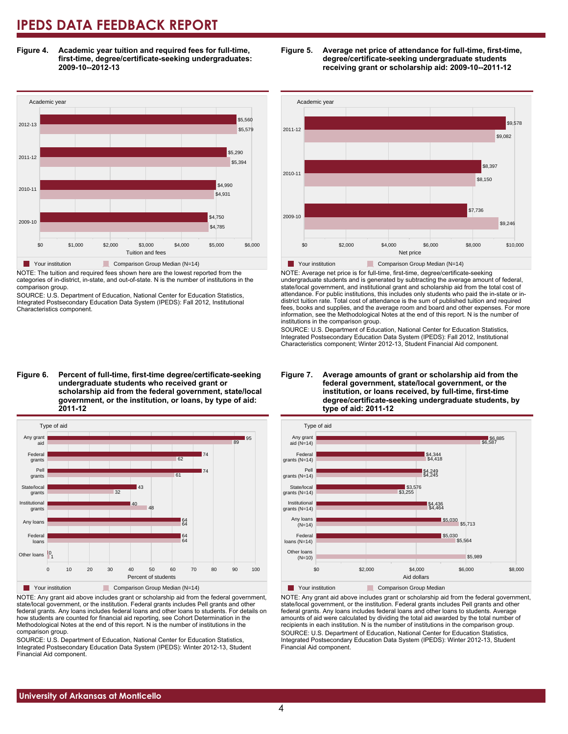**Figure 4. Academic year tuition and required fees for full-time, first-time, degree/certificate-seeking undergraduates: 2009-10--2012-13**



NOTE: The tuition and required fees shown here are the lowest reported from the categories of in-district, in-state, and out-of-state. N is the number of institutions in the comparison group.

SOURCE: U.S. Department of Education, National Center for Education Statistics, Integrated Postsecondary Education Data System (IPEDS): Fall 2012, Institutional Characteristics component.

**Figure 6. Percent of full-time, first-time degree/certificate-seeking undergraduate students who received grant or scholarship aid from the federal government, state/local government, or the institution, or loans, by type of aid: 2011-12**



NOTE: Any grant aid above includes grant or scholarship aid from the federal government, state/local government, or the institution. Federal grants includes Pell grants and other federal grants. Any loans includes federal loans and other loans to students. For details on how students are counted for financial aid reporting, see Cohort Determination in the Methodological Notes at the end of this report. N is the number of institutions in the comparison group.

SOURCE: U.S. Department of Education, National Center for Education Statistics, Integrated Postsecondary Education Data System (IPEDS): Winter 2012-13, Student Financial Aid component.





NOTE: Average net price is for full-time, first-time, degree/certificate-seeking undergraduate students and is generated by subtracting the average amount of federal, state/local government, and institutional grant and scholarship aid from the total cost of attendance. For public institutions, this includes only students who paid the in-state or indistrict tuition rate. Total cost of attendance is the sum of published tuition and required fees, books and supplies, and the average room and board and other expenses. For more information, see the Methodological Notes at the end of this report. N is the number of institutions in the comparison group.

SOURCE: U.S. Department of Education, National Center for Education Statistics, Integrated Postsecondary Education Data System (IPEDS): Fall 2012, Institutional Characteristics component; Winter 2012-13, Student Financial Aid component.





**Table Your institution** Comparison Group Median

NOTE: Any grant aid above includes grant or scholarship aid from the federal government, state/local government, or the institution. Federal grants includes Pell grants and other federal grants. Any loans includes federal loans and other loans to students. Average amounts of aid were calculated by dividing the total aid awarded by the total number of recipients in each institution. N is the number of institutions in the comparison group. SOURCE: U.S. Department of Education, National Center for Education Statistics, Integrated Postsecondary Education Data System (IPEDS): Winter 2012-13, Student Financial Aid component.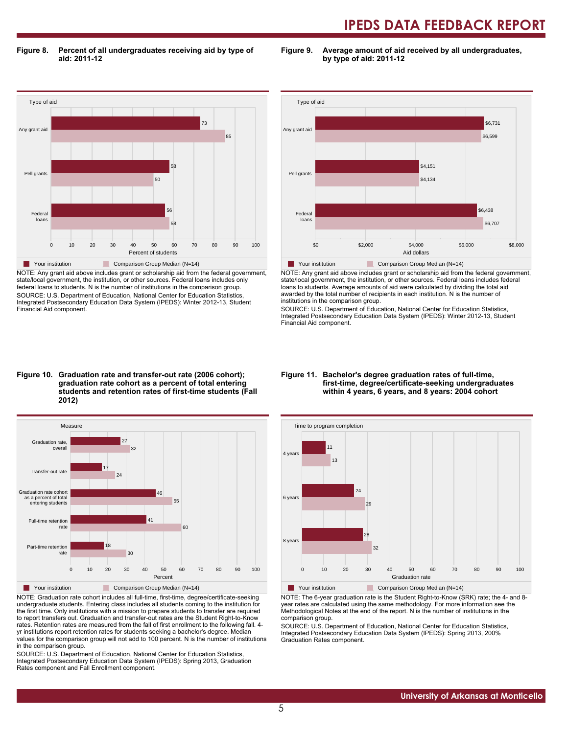**Figure 8. Percent of all undergraduates receiving aid by type of aid: 2011-12**

**Figure 9. Average amount of aid received by all undergraduates, by type of aid: 2011-12**



NOTE: Any grant aid above includes grant or scholarship aid from the federal government, state/local government, the institution, or other sources. Federal loans includes only federal loans to students. N is the number of institutions in the comparison group. SOURCE: U.S. Department of Education, National Center for Education Statistics, Integrated Postsecondary Education Data System (IPEDS): Winter 2012-13, Student Financial Aid component.



NOTE: Any grant aid above includes grant or scholarship aid from the federal government, state/local government, the institution, or other sources. Federal loans includes federal loans to students. Average amounts of aid were calculated by dividing the total aid awarded by the total number of recipients in each institution. N is the number of institutions in the comparison group.

SOURCE: U.S. Department of Education, National Center for Education Statistics, Integrated Postsecondary Education Data System (IPEDS): Winter 2012-13, Student Financial Aid component.

#### **Figure 10. Graduation rate and transfer-out rate (2006 cohort); graduation rate cohort as a percent of total entering students and retention rates of first-time students (Fall 2012)**



NOTE: Graduation rate cohort includes all full-time, first-time, degree/certificate-seeking undergraduate students. Entering class includes all students coming to the institution for the first time. Only institutions with a mission to prepare students to transfer are required to report transfers out. Graduation and transfer-out rates are the Student Right-to-Know rates. Retention rates are measured from the fall of first enrollment to the following fall. 4 yr institutions report retention rates for students seeking a bachelor's degree. Median values for the comparison group will not add to 100 percent. N is the number of institutions in the comparison group.

SOURCE: U.S. Department of Education, National Center for Education Statistics, Integrated Postsecondary Education Data System (IPEDS): Spring 2013, Graduation Rates component and Fall Enrollment component.

#### **Figure 11. Bachelor's degree graduation rates of full-time, first-time, degree/certificate-seeking undergraduates within 4 years, 6 years, and 8 years: 2004 cohort**



Your institution **Comparison Group Median (N=14)** 

NOTE: The 6-year graduation rate is the Student Right-to-Know (SRK) rate; the 4- and 8 year rates are calculated using the same methodology. For more information see the Methodological Notes at the end of the report. N is the number of institutions in the comparison group.

SOURCE: U.S. Department of Education, National Center for Education Statistics, Integrated Postsecondary Education Data System (IPEDS): Spring 2013, 200% Graduation Rates component.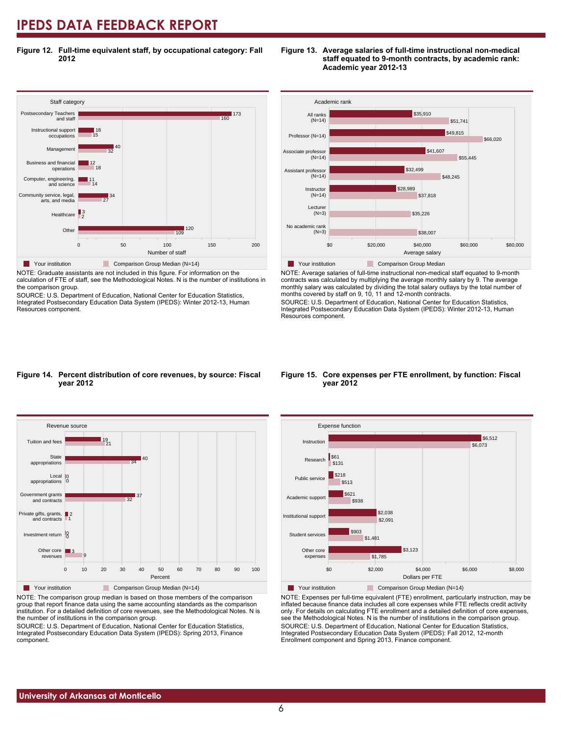**Figure 12. Full-time equivalent staff, by occupational category: Fall 2012**

#### Staff cate<sub>g</sub><br>Postsecondary Teachers 0 50 50 100 50 50 200 Number of staff Other **Healthcare** Community service, legal, arts, and med Computer, engineering, and science Business and financial operations Management Instructional support occupations and staff  $\frac{1}{109}$  120 2 3 27 34 14 11 18  $112$ 32 40 15 18 160 173 Staff category Your institution Comparison Group Median (N=14)

NOTE: Graduate assistants are not included in this figure. For information on the calculation of FTE of staff, see the Methodological Notes. N is the number of institutions in the comparison group.

SOURCE: U.S. Department of Education, National Center for Education Statistics, Integrated Postsecondary Education Data System (IPEDS): Winter 2012-13, Human Resources component.



**Figure 13. Average salaries of full-time instructional non-medical**

**Academic year 2012-13**

**staff equated to 9-month contracts, by academic rank:**

NOTE: Average salaries of full-time instructional non-medical staff equated to 9-month contracts was calculated by multiplying the average monthly salary by 9. The average monthly salary was calculated by dividing the total salary outlays by the total number of months covered by staff on 9, 10, 11 and 12-month contracts.

SOURCE: U.S. Department of Education, National Center for Education Statistics, Integrated Postsecondary Education Data System (IPEDS): Winter 2012-13, Human Resources component.

#### **Figure 14. Percent distribution of core revenues, by source: Fiscal year 2012**



NOTE: The comparison group median is based on those members of the comparison group that report finance data using the same accounting standards as the comparison institution. For a detailed definition of core revenues, see the Methodological Notes. N is the number of institutions in the comparison group.

SOURCE: U.S. Department of Education, National Center for Education Statistics, Integrated Postsecondary Education Data System (IPEDS): Spring 2013, Finance component.

#### **Figure 15. Core expenses per FTE enrollment, by function: Fiscal year 2012**



NOTE: Expenses per full-time equivalent (FTE) enrollment, particularly instruction, may be inflated because finance data includes all core expenses while FTE reflects credit activity only. For details on calculating FTE enrollment and a detailed definition of core expenses, see the Methodological Notes. N is the number of institutions in the comparison group. SOURCE: U.S. Department of Education, National Center for Education Statistics, Integrated Postsecondary Education Data System (IPEDS): Fall 2012, 12-month Enrollment component and Spring 2013, Finance component.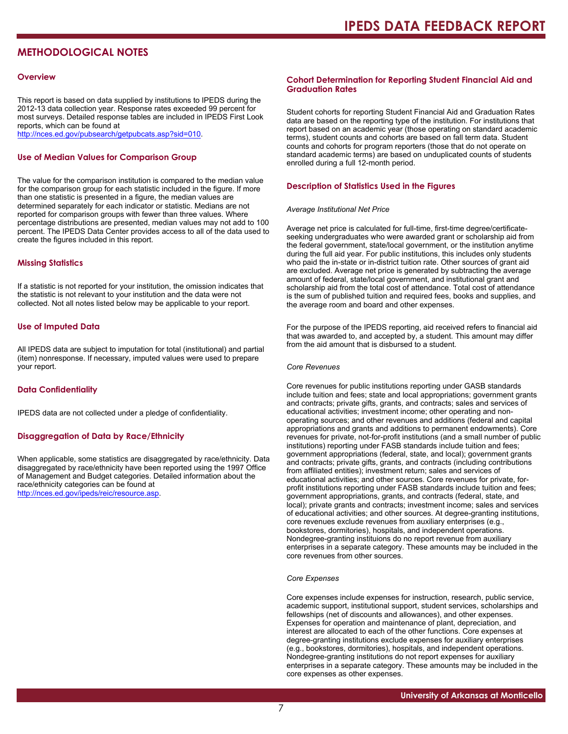# **METHODOLOGICAL NOTES**

#### **Overview**

This report is based on data supplied by institutions to IPEDS during the 2012-13 data collection year. Response rates exceeded 99 percent for most surveys. Detailed response tables are included in IPEDS First Look reports, which can be found at [http://nces.ed.gov/pubsearch/getpubcats.asp?sid=010.](http://nces.ed.gov/pubsearch/getpubcats.asp?sid=010)

#### **Use of Median Values for Comparison Group**

The value for the comparison institution is compared to the median value for the comparison group for each statistic included in the figure. If more than one statistic is presented in a figure, the median values are determined separately for each indicator or statistic. Medians are not reported for comparison groups with fewer than three values. Where percentage distributions are presented, median values may not add to 100 percent. The IPEDS Data Center provides access to all of the data used to create the figures included in this report.

#### **Missing Statistics**

If a statistic is not reported for your institution, the omission indicates that the statistic is not relevant to your institution and the data were not collected. Not all notes listed below may be applicable to your report.

#### **Use of Imputed Data**

All IPEDS data are subject to imputation for total (institutional) and partial (item) nonresponse. If necessary, imputed values were used to prepare your report.

#### **Data Confidentiality**

IPEDS data are not collected under a pledge of confidentiality.

#### **Disaggregation of Data by Race/Ethnicity**

When applicable, some statistics are disaggregated by race/ethnicity. Data disaggregated by race/ethnicity have been reported using the 1997 Office of Management and Budget categories. Detailed information about the race/ethnicity categories can be found at <http://nces.ed.gov/ipeds/reic/resource.asp>.

#### **Cohort Determination for Reporting Student Financial Aid and Graduation Rates**

Student cohorts for reporting Student Financial Aid and Graduation Rates data are based on the reporting type of the institution. For institutions that report based on an academic year (those operating on standard academic terms), student counts and cohorts are based on fall term data. Student counts and cohorts for program reporters (those that do not operate on standard academic terms) are based on unduplicated counts of students enrolled during a full 12-month period.

#### **Description of Statistics Used in the Figures**

#### *Average Institutional Net Price*

Average net price is calculated for full-time, first-time degree/certificateseeking undergraduates who were awarded grant or scholarship aid from the federal government, state/local government, or the institution anytime during the full aid year. For public institutions, this includes only students who paid the in-state or in-district tuition rate. Other sources of grant aid are excluded. Average net price is generated by subtracting the average amount of federal, state/local government, and institutional grant and scholarship aid from the total cost of attendance. Total cost of attendance is the sum of published tuition and required fees, books and supplies, and the average room and board and other expenses.

For the purpose of the IPEDS reporting, aid received refers to financial aid that was awarded to, and accepted by, a student. This amount may differ from the aid amount that is disbursed to a student.

#### *Core Revenues*

Core revenues for public institutions reporting under GASB standards include tuition and fees; state and local appropriations; government grants and contracts; private gifts, grants, and contracts; sales and services of educational activities; investment income; other operating and nonoperating sources; and other revenues and additions (federal and capital appropriations and grants and additions to permanent endowments). Core revenues for private, not-for-profit institutions (and a small number of public institutions) reporting under FASB standards include tuition and fees; government appropriations (federal, state, and local); government grants and contracts; private gifts, grants, and contracts (including contributions from affiliated entities); investment return; sales and services of educational activities; and other sources. Core revenues for private, forprofit institutions reporting under FASB standards include tuition and fees; government appropriations, grants, and contracts (federal, state, and local); private grants and contracts; investment income; sales and services of educational activities; and other sources. At degree-granting institutions, core revenues exclude revenues from auxiliary enterprises (e.g., bookstores, dormitories), hospitals, and independent operations. Nondegree-granting instituions do no report revenue from auxiliary enterprises in a separate category. These amounts may be included in the core revenues from other sources.

#### *Core Expenses*

Core expenses include expenses for instruction, research, public service, academic support, institutional support, student services, scholarships and fellowships (net of discounts and allowances), and other expenses. Expenses for operation and maintenance of plant, depreciation, and interest are allocated to each of the other functions. Core expenses at degree-granting institutions exclude expenses for auxiliary enterprises (e.g., bookstores, dormitories), hospitals, and independent operations. Nondegree-granting institutions do not report expenses for auxiliary enterprises in a separate category. These amounts may be included in the core expenses as other expenses.